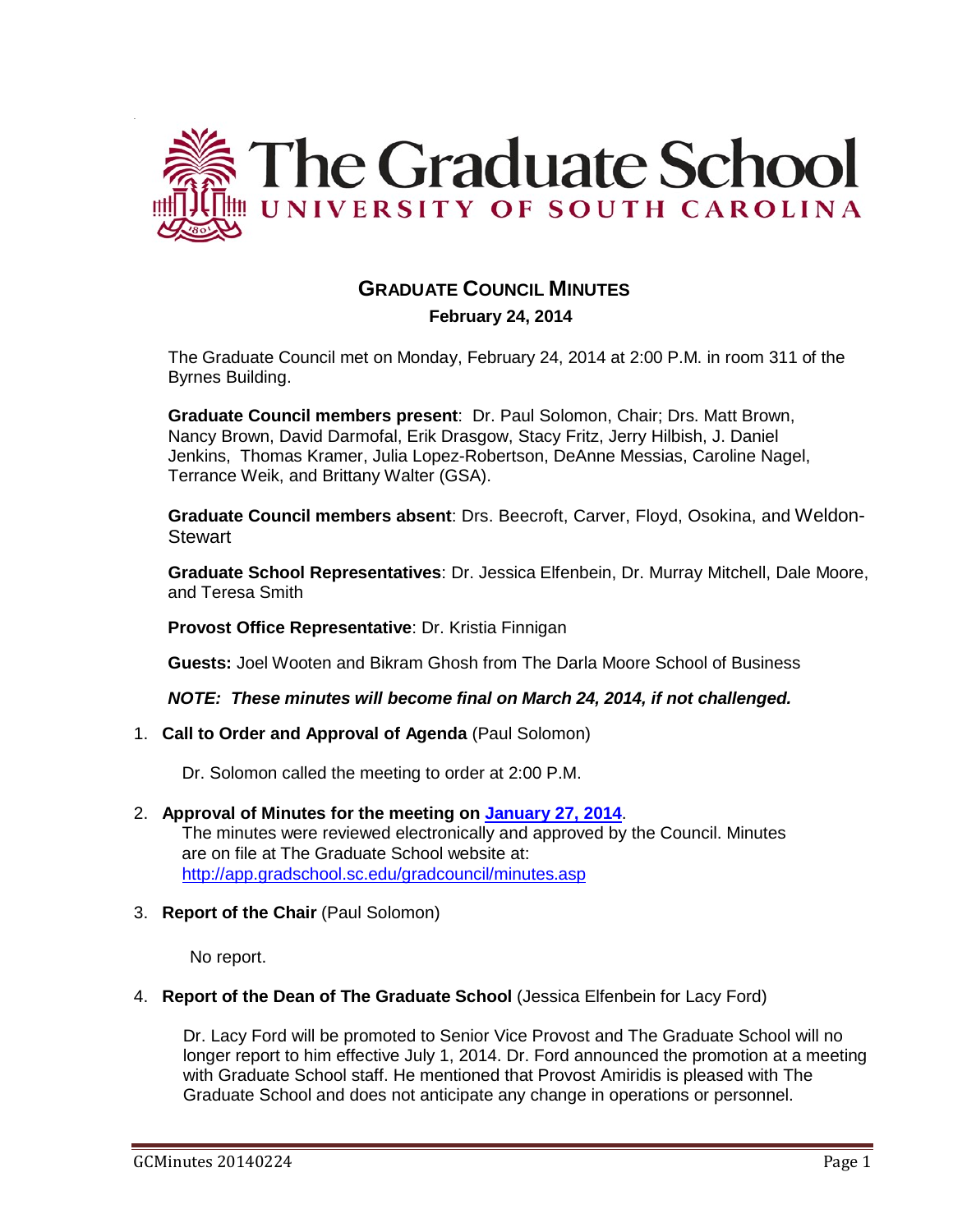

# **GRADUATE COUNCIL MINUTES**

 **February 24, 2014**

The Graduate Council met on Monday, February 24, 2014 at 2:00 P.M. in room 311 of the Byrnes Building.

**Graduate Council members present**: Dr. Paul Solomon, Chair; Drs. Matt Brown, Nancy Brown, David Darmofal, Erik Drasgow, Stacy Fritz, Jerry Hilbish, J. Daniel Jenkins, Thomas Kramer, Julia Lopez-Robertson, DeAnne Messias, Caroline Nagel, Terrance Weik, and Brittany Walter (GSA).

**Graduate Council members absent**: Drs. Beecroft, Carver, Floyd, Osokina, and Weldon-Stewart

**Graduate School Representatives**: Dr. Jessica Elfenbein, Dr. Murray Mitchell, Dale Moore, and Teresa Smith

**Provost Office Representative**: Dr. Kristia Finnigan

**Guests:** Joel Wooten and Bikram Ghosh from The Darla Moore School of Business

*NOTE: These minutes will become final on March 24, 2014, if not challenged.*

1. **Call to Order and Approval of Agenda** (Paul Solomon)

Dr. Solomon called the meeting to order at 2:00 P.M.

- 2. **Approval of Minutes for the meeting on [January 27, 2014](http://gradschool.sc.edu/facstaff/gradcouncil/2013/GC%20Minutes%201%2027%2014%20MMM%20.pdf)**. The minutes were reviewed electronically and approved by the Council. Minutes are on file at The Graduate School website at: <http://app.gradschool.sc.edu/gradcouncil/minutes.asp>
- 3. **Report of the Chair** (Paul Solomon)

No report.

#### 4. **Report of the Dean of The Graduate School** (Jessica Elfenbein for Lacy Ford)

Dr. Lacy Ford will be promoted to Senior Vice Provost and The Graduate School will no longer report to him effective July 1, 2014. Dr. Ford announced the promotion at a meeting with Graduate School staff. He mentioned that Provost Amiridis is pleased with The Graduate School and does not anticipate any change in operations or personnel.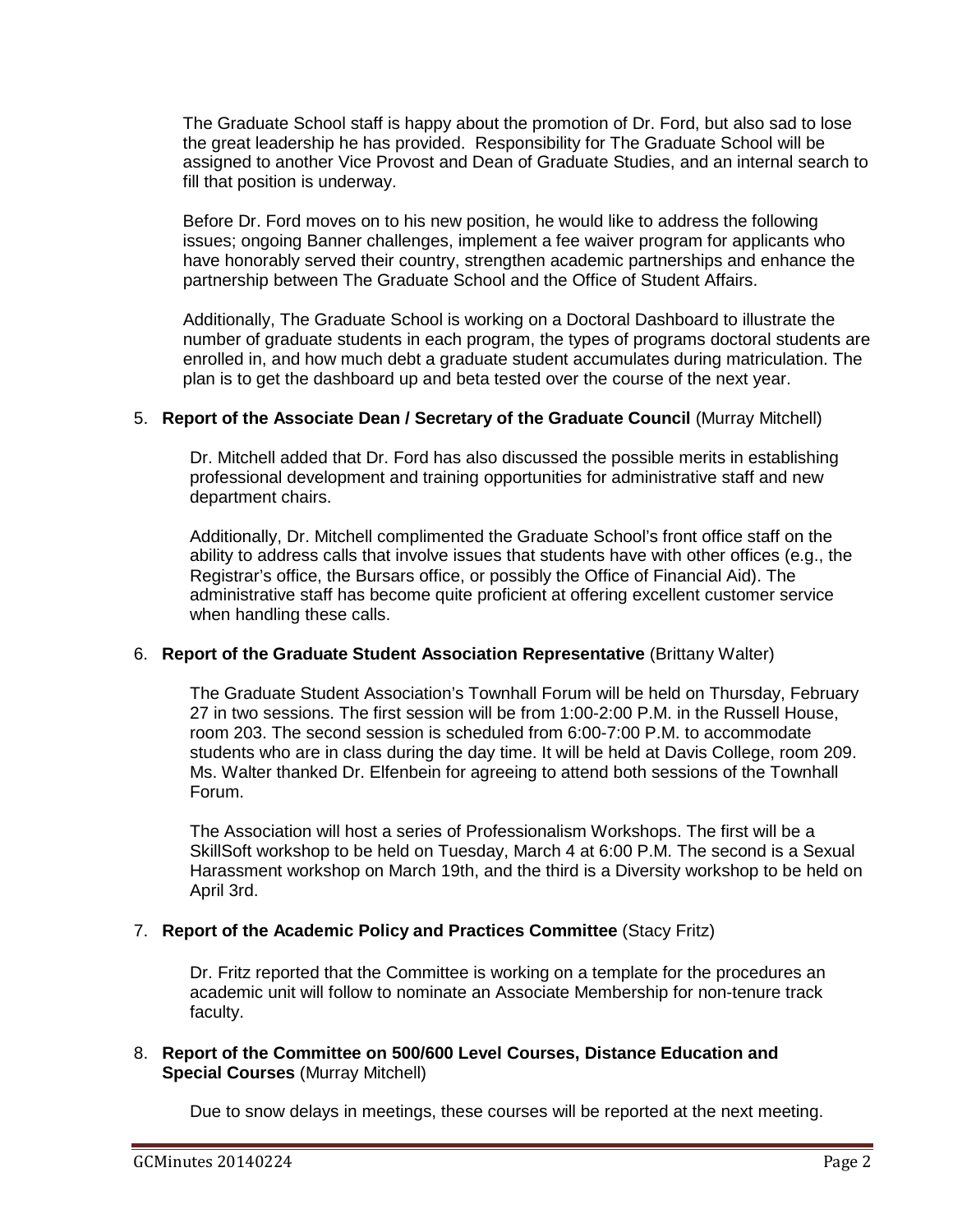The Graduate School staff is happy about the promotion of Dr. Ford, but also sad to lose the great leadership he has provided. Responsibility for The Graduate School will be assigned to another Vice Provost and Dean of Graduate Studies, and an internal search to fill that position is underway.

Before Dr. Ford moves on to his new position, he would like to address the following issues; ongoing Banner challenges, implement a fee waiver program for applicants who have honorably served their country, strengthen academic partnerships and enhance the partnership between The Graduate School and the Office of Student Affairs.

Additionally, The Graduate School is working on a Doctoral Dashboard to illustrate the number of graduate students in each program, the types of programs doctoral students are enrolled in, and how much debt a graduate student accumulates during matriculation. The plan is to get the dashboard up and beta tested over the course of the next year.

#### 5. **Report of the Associate Dean / Secretary of the Graduate Council** (Murray Mitchell)

Dr. Mitchell added that Dr. Ford has also discussed the possible merits in establishing professional development and training opportunities for administrative staff and new department chairs.

Additionally, Dr. Mitchell complimented the Graduate School's front office staff on the ability to address calls that involve issues that students have with other offices (e.g., the Registrar's office, the Bursars office, or possibly the Office of Financial Aid). The administrative staff has become quite proficient at offering excellent customer service when handling these calls.

# 6. **Report of the Graduate Student Association Representative** (Brittany Walter)

The Graduate Student Association's Townhall Forum will be held on Thursday, February 27 in two sessions. The first session will be from 1:00-2:00 P.M. in the Russell House, room 203. The second session is scheduled from 6:00-7:00 P.M. to accommodate students who are in class during the day time. It will be held at Davis College, room 209. Ms. Walter thanked Dr. Elfenbein for agreeing to attend both sessions of the Townhall Forum.

The Association will host a series of Professionalism Workshops. The first will be a SkillSoft workshop to be held on Tuesday, March 4 at 6:00 P.M. The second is a Sexual Harassment workshop on March 19th, and the third is a Diversity workshop to be held on April 3rd.

# 7. **Report of the Academic Policy and Practices Committee** (Stacy Fritz)

Dr. Fritz reported that the Committee is working on a template for the procedures an academic unit will follow to nominate an Associate Membership for non-tenure track faculty.

#### 8. **Report of the Committee on 500/600 Level Courses, Distance Education and Special Courses** (Murray Mitchell)

Due to snow delays in meetings, these courses will be reported at the next meeting.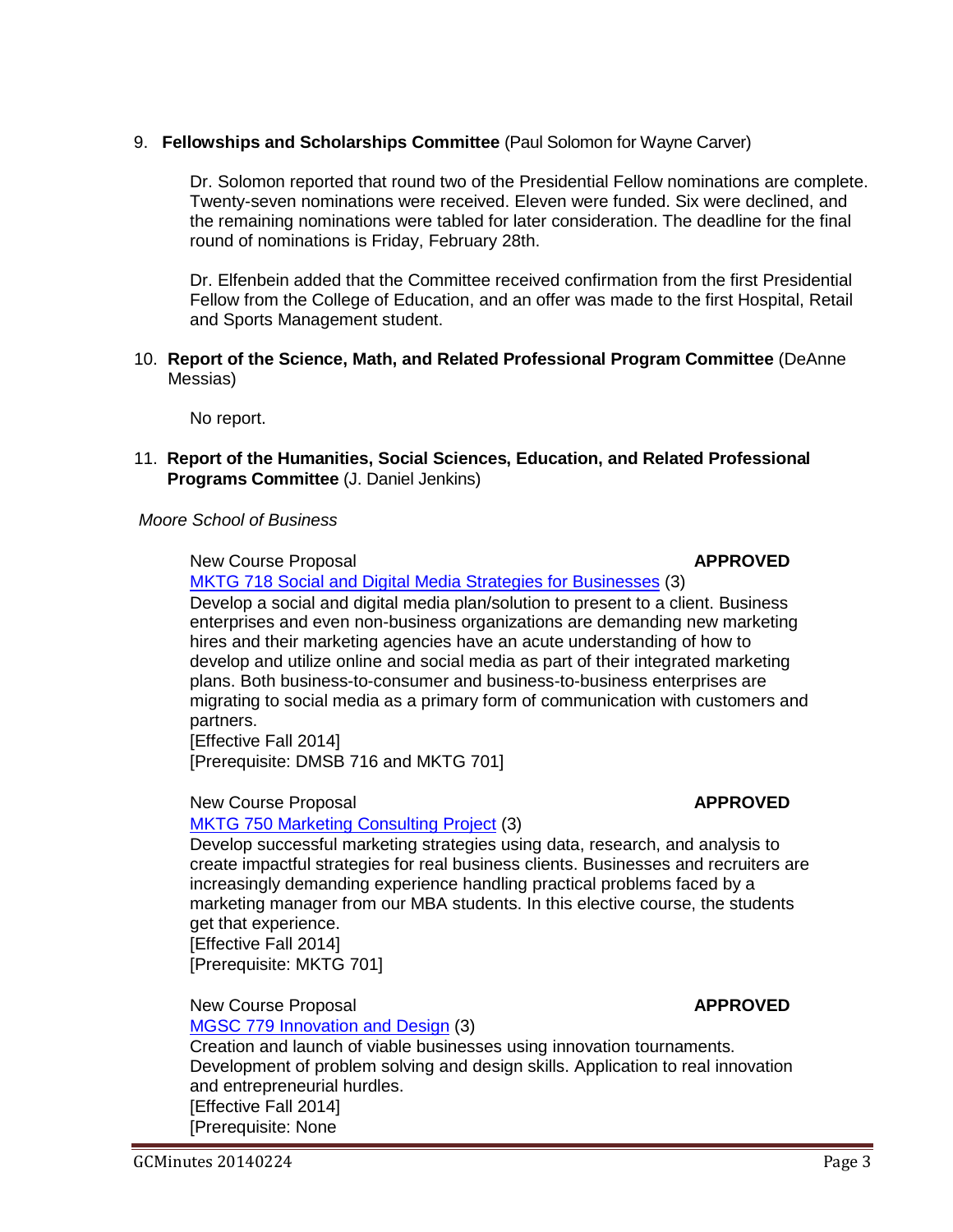# 9. **Fellowships and Scholarships Committee** (Paul Solomon for Wayne Carver)

Dr. Solomon reported that round two of the Presidential Fellow nominations are complete. Twenty-seven nominations were received. Eleven were funded. Six were declined, and the remaining nominations were tabled for later consideration. The deadline for the final round of nominations is Friday, February 28th.

Dr. Elfenbein added that the Committee received confirmation from the first Presidential Fellow from the College of Education, and an offer was made to the first Hospital, Retail and Sports Management student.

10. **Report of the Science, Math, and Related Professional Program Committee** (DeAnne Messias)

No report.

11. **Report of the Humanities, Social Sciences, Education, and Related Professional Programs Committee** (J. Daniel Jenkins)

# *Moore School of Business*

New Course Proposal **APPROVED** 

[MKTG 718 Social and Digital Media Strategies for Businesses](http://gradschool.sc.edu/facstaff/gradcouncil/2013/MKTG%20718%20NCP_Redacted1.pdf) (3) Develop a social and digital media plan/solution to present to a client. Business enterprises and even non-business organizations are demanding new marketing hires and their marketing agencies have an acute understanding of how to develop and utilize online and social media as part of their integrated marketing plans. Both business-to-consumer and business-to-business enterprises are migrating to social media as a primary form of communication with customers and partners.

[Effective Fall 2014] [Prerequisite: DMSB 716 and MKTG 701]

# New Course Proposal **APPROVED**

# [MKTG 750 Marketing Consulting Project](http://gradschool.sc.edu/facstaff/gradcouncil/2013/MKTG%20750%20NCP_Redacted%20updated1.pdf) (3)

Develop successful marketing strategies using data, research, and analysis to create impactful strategies for real business clients. Businesses and recruiters are increasingly demanding experience handling practical problems faced by a marketing manager from our MBA students. In this elective course, the students get that experience. [Effective Fall 2014] [Prerequisite: MKTG 701]

# New Course Proposal **APPROVED**

# [MGSC 779 Innovation and Design](http://gradschool.sc.edu/facstaff/gradcouncil/2013/MGSC%20779%20NCP_Redacted2.pdf) (3)

Creation and launch of viable businesses using innovation tournaments. Development of problem solving and design skills. Application to real innovation and entrepreneurial hurdles. [Effective Fall 2014]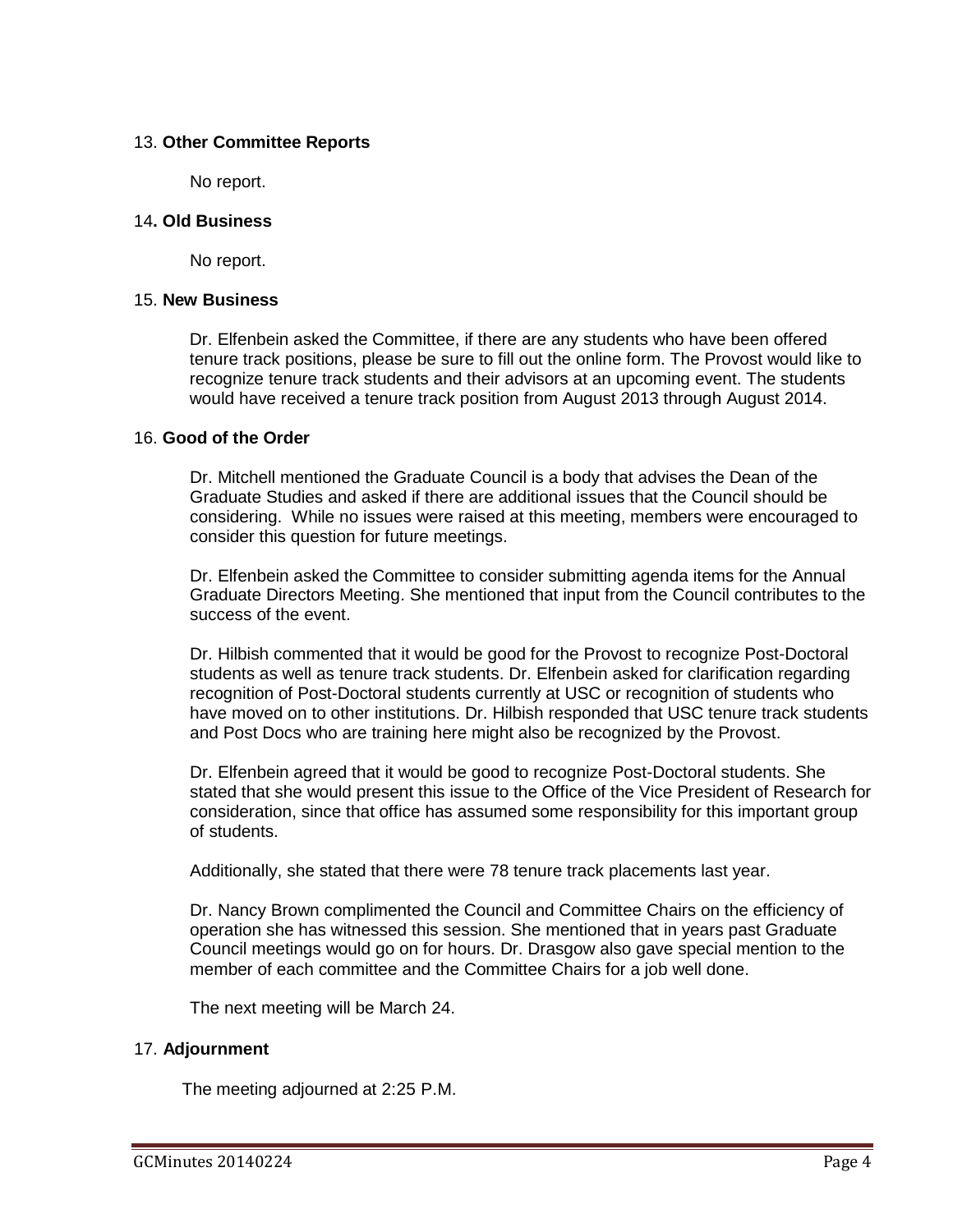# 13. **Other Committee Reports**

No report.

## 14**. Old Business**

No report.

#### 15. **New Business**

Dr. Elfenbein asked the Committee, if there are any students who have been offered tenure track positions, please be sure to fill out the online form. The Provost would like to recognize tenure track students and their advisors at an upcoming event. The students would have received a tenure track position from August 2013 through August 2014.

# 16. **Good of the Order**

Dr. Mitchell mentioned the Graduate Council is a body that advises the Dean of the Graduate Studies and asked if there are additional issues that the Council should be considering. While no issues were raised at this meeting, members were encouraged to consider this question for future meetings.

Dr. Elfenbein asked the Committee to consider submitting agenda items for the Annual Graduate Directors Meeting. She mentioned that input from the Council contributes to the success of the event.

Dr. Hilbish commented that it would be good for the Provost to recognize Post-Doctoral students as well as tenure track students. Dr. Elfenbein asked for clarification regarding recognition of Post-Doctoral students currently at USC or recognition of students who have moved on to other institutions. Dr. Hilbish responded that USC tenure track students and Post Docs who are training here might also be recognized by the Provost.

Dr. Elfenbein agreed that it would be good to recognize Post-Doctoral students. She stated that she would present this issue to the Office of the Vice President of Research for consideration, since that office has assumed some responsibility for this important group of students.

Additionally, she stated that there were 78 tenure track placements last year.

Dr. Nancy Brown complimented the Council and Committee Chairs on the efficiency of operation she has witnessed this session. She mentioned that in years past Graduate Council meetings would go on for hours. Dr. Drasgow also gave special mention to the member of each committee and the Committee Chairs for a job well done.

The next meeting will be March 24.

# 17. **Adjournment**

The meeting adjourned at 2:25 P.M.